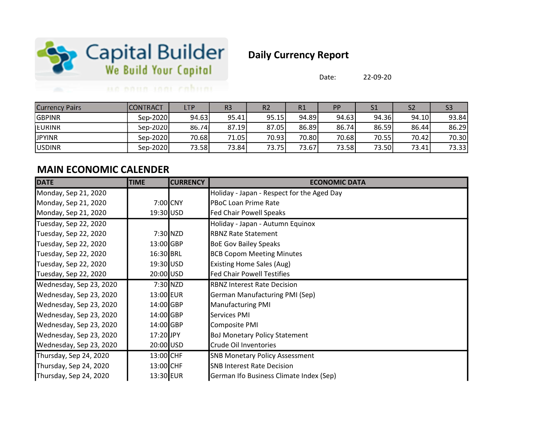

# Daily Currency Report

Date: 22-09-20

### un noun inni cabum

| <b>Currency Pairs</b> | ICONTRACT | LTP   | R3    | R <sub>2</sub> | R1     | PP    | S <sub>1</sub> |       | S3    |
|-----------------------|-----------|-------|-------|----------------|--------|-------|----------------|-------|-------|
| <b>GBPINR</b>         | Sep-2020  | 94.63 | 95.41 | 95.15          | 94.89  | 94.63 | 94.36          | 94.10 | 93.84 |
| <b>EURINR</b>         | Sep-2020  | 86.74 | 87.19 | 87.05          | 86.89  | 86.74 | 86.59          | 86.44 | 86.29 |
| <b>JPYINR</b>         | Sep-2020  | 70.68 | 71.05 | 70.93          | 70.80I | 70.68 | 70.55          | 70.42 | 70.30 |
| <b>JUSDINR</b>        | Sep-2020  | 73.58 | 73.84 | 73.75          | 73.67  | 73.58 | 73.50          | 73.41 | 73.33 |

### MAIN ECONOMIC CALENDER

| <b>DATE</b>             | <b>TIME</b> | <b>CURRENCY</b> | <b>ECONOMIC DATA</b>                       |
|-------------------------|-------------|-----------------|--------------------------------------------|
| Monday, Sep 21, 2020    |             |                 | Holiday - Japan - Respect for the Aged Day |
| Monday, Sep 21, 2020    |             | 7:00 CNY        | <b>PBoC Loan Prime Rate</b>                |
| Monday, Sep 21, 2020    | 19:30 USD   |                 | <b>Fed Chair Powell Speaks</b>             |
| Tuesday, Sep 22, 2020   |             |                 | Holiday - Japan - Autumn Equinox           |
| Tuesday, Sep 22, 2020   |             | 7:30 NZD        | <b>RBNZ Rate Statement</b>                 |
| Tuesday, Sep 22, 2020   | 13:00 GBP   |                 | <b>BoE Gov Bailey Speaks</b>               |
| Tuesday, Sep 22, 2020   | 16:30 BRL   |                 | <b>BCB Copom Meeting Minutes</b>           |
| Tuesday, Sep 22, 2020   | 19:30 USD   |                 | Existing Home Sales (Aug)                  |
| Tuesday, Sep 22, 2020   | 20:00 USD   |                 | <b>Fed Chair Powell Testifies</b>          |
| Wednesday, Sep 23, 2020 |             | $7:30$ NZD      | <b>RBNZ Interest Rate Decision</b>         |
| Wednesday, Sep 23, 2020 | 13:00 EUR   |                 | <b>German Manufacturing PMI (Sep)</b>      |
| Wednesday, Sep 23, 2020 | 14:00 GBP   |                 | <b>Manufacturing PMI</b>                   |
| Wednesday, Sep 23, 2020 | 14:00 GBP   |                 | Services PMI                               |
| Wednesday, Sep 23, 2020 | 14:00 GBP   |                 | Composite PMI                              |
| Wednesday, Sep 23, 2020 | 17:20 JPY   |                 | <b>BoJ Monetary Policy Statement</b>       |
| Wednesday, Sep 23, 2020 | 20:00 USD   |                 | Crude Oil Inventories                      |
| Thursday, Sep 24, 2020  | 13:00 CHF   |                 | <b>SNB Monetary Policy Assessment</b>      |
| Thursday, Sep 24, 2020  | 13:00 CHF   |                 | <b>SNB Interest Rate Decision</b>          |
| Thursday, Sep 24, 2020  | 13:30 EUR   |                 | German Ifo Business Climate Index (Sep)    |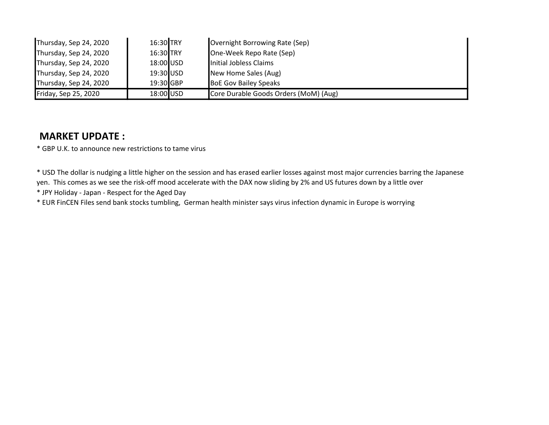| Thursday, Sep 24, 2020 | 16:30 TRY | Overnight Borrowing Rate (Sep)        |
|------------------------|-----------|---------------------------------------|
| Thursday, Sep 24, 2020 | 16:30 TRY | One-Week Repo Rate (Sep)              |
| Thursday, Sep 24, 2020 | 18:00 USD | Initial Jobless Claims                |
| Thursday, Sep 24, 2020 | 19:30 USD | New Home Sales (Aug)                  |
| Thursday, Sep 24, 2020 | 19:30 GBP | <b>BoE Gov Bailey Speaks</b>          |
| Friday, Sep 25, 2020   | 18:00 USD | Core Durable Goods Orders (MoM) (Aug) |

### MARKET UPDATE :

\* GBP U.K. to announce new restrictions to tame virus

\* USD The dollar is nudging a little higher on the session and has erased earlier losses against most major currencies barring the Japanese yen. This comes as we see the risk-off mood accelerate with the DAX now sliding by 2% and US futures down by a little over

\* JPY Holiday - Japan - Respect for the Aged Day

\* EUR FinCEN Files send bank stocks tumbling, German health minister says virus infection dynamic in Europe is worrying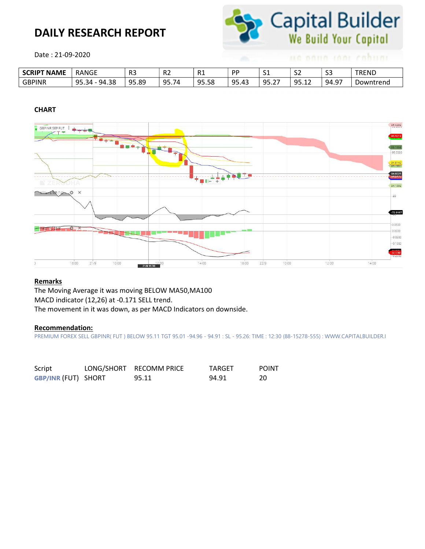## DAILY RESEARCH REPORT



Date : 21-09-2020

| <b>SCRIPT NAME</b> | <b>RANGE</b>        | - D.C<br>כח | n g<br>. .<br>ΠZ. | R <sub>1</sub> | <b>DD</b> | -<br>ັ                        | $\sim$<br>ےر      | $\sim$<br>-၁၁ | <b>TREND</b> |
|--------------------|---------------------|-------------|-------------------|----------------|-----------|-------------------------------|-------------------|---------------|--------------|
| <b>GBPINR</b>      | 95.3<br>94.38<br>34 | 95.89       | 95.74             | 95<br>95.58    | 95.43     | ۵Ę<br>$\sim$ $\sim$<br>. ے. د | ΩĘ<br><u>,,,,</u> | . റ−<br>94.9  | Downtrend    |

#### CHART



#### Remarks

The Moving Average it was moving BELOW MA50,MA100 MACD indicator (12,26) at -0.171 SELL trend. The movement in it was down, as per MACD Indicators on downside.

#### Recommendation:

PREMIUM FOREX SELL GBPINR( FUT ) BELOW 95.11 TGT 95.01 -94.96 - 94.91 : SL - 95.26: TIME : 12:30 (88-15278-555) : WWW.CAPITALBUILDER.I

| Script                     | LONG/SHORT RECOMM PRICE | TARGET | <b>POINT</b> |
|----------------------------|-------------------------|--------|--------------|
| <b>GBP/INR (FUT) SHORT</b> | 95.11                   | 94.91  | 20           |